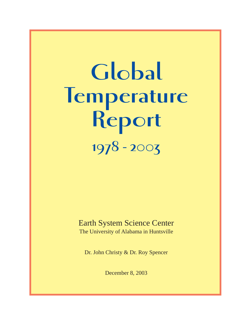# **Global Temperature Report 1978 - 2003**

### Earth System Science Center

The University of Alabama in Huntsville

Dr. John Christy & Dr. Roy Spencer

December 8, 2003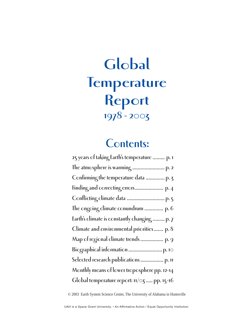### **Global Temperature Report 1978 - 2003**

### **Contents:**

© 2003 Earth System Science Center, The University of Alabama in Huntsville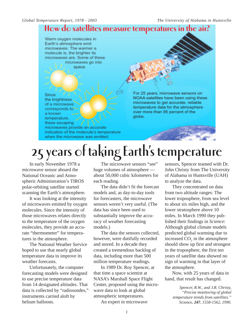

# **25 years of taking Earth's temperature**

In early November 1978 a microwave sensor aboard the National Oceanic and Atmospheric Administration's TIROS polar-orbiting satellite started scanning the Earth's atmosphere.

It was looking at the intensity of microwaves emitted by oxygen molecules. Since the intensity of those microwaves relates directly to the temperature of the oxygen molecules, they provide an accurate "thermometer" for temperatures in the atmosphere.

The National Weather Service hoped to use that nearly global temperature data to improve its weather forecasts.

Unfortunately, the computer forecasting models were designed to use precise temperature data from 14 designated altitudes. That data is collected by "radiosondes," instruments carried aloft by helium balloons.

The microwave sensors "see" huge volumes of atmosphere about 50,000 cubic kilometers for each reading.

The data didn't fit the forecast models and, as day-to-day tools for forecasters, the microwave sensors weren't very useful. (The data has since been used to substantially improve the accuracy of weather forecasting models.)

The data the sensors collected, however, were dutifully recorded and stored. In a decade they created a tremendous backlog of data, including more than 500 million temperature readings.

In 1989 Dr. Roy Spencer, at that time a space scientist at NASA's Marshall Space Flight Center, proposed using the microwave data to look at global atmospheric temperatures.

An expert in microwave

sensors, Spencer teamed with Dr. John Christy from The University of Alabama in Huntsville (UAH) to analyze the data.

They concentrated on data from two altitude ranges: The lower troposphere, from sea level to about six miles high, and the lower stratosphere above 10 miles. In March 1990 they published their findings in *Science*: Although global climate models predicted global warming due to increased CO<sub>2</sub> in the atmosphere should show up first and strongest in the troposphere, the first ten years of satellite data showed no sign of warming in that layer of the atmosphere.

Now, with 25 years of data in hand, that result has changed.

> *Spencer, R.W., and J.R. Christy, "Precise monitoring of global temperature trends from satellites."* Science*, 247, 1558-1562, 1990.*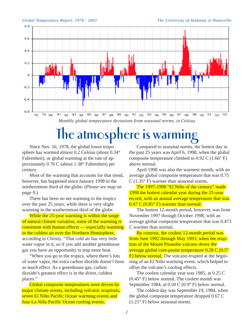

# **The atmosphere is warming**

Since Nov. 16, 1978, the global lower troposphere has warmed almost 0.2 Celsius (about 0.34° Fahrenheit), or global warming at the rate of approximately 0.76 C (about 1.38° Fahrenheit) per century.

Most of the warming that accounts for that trend, however, has happened since January 1998 in the northernmost third of the globe. (*Please see map on page 9.*)

There has been no net warming in the tropics over the past 25 years, while there is very slight warming in the southernmost third of the globe.

While the 25-year warming is within the range of natural climate variation, some of the warming is consistent with human effects — especially warming in the coldest air over the Northern Hemisphere, according to Christy. "That cold air has very little water vapor in it, so if you add another greenhouse gas you have an opportunity to trap more heat.

"When you go to the tropics, where there's lots of water vapor, the extra carbon dioxide doesn't have as much effect. As a greenhouse gas, carbon dioxide's greatest effect is in the driest, coldest places."

Global composite temperatures were driven by major climate events, including volcanic eruptions, seven El Niño Pacific Ocean warming events and four La Niña Pacific Ocean cooling events.

Compared to seasonal norms, the hottest day in the past 25 years was April 6, 1998, when the global composite temperature climbed to 0.92 C (1.66° F) above normal.

April 1998 was also the warmest month, with an average global composite temperature that was 0.75 C (1.35° F) warmer than seasonal norms.

The 1997-1998 "El Niño of the century" made 1998 the hottest calendar year during the 25-year record, with an annual average temperature that was  $0.47$  C ( $0.85^{\circ}$  F) warmer than normal.

The hottest 12-month period, however, was from November 1997 through October 1998, with an average global composite temperature that was 0.473 C warmer than normal.

By contrast, the coolest 12-month period was from June 1992 through May 1993, when the eruption of the Mount Pinatubo volcano drove the average global com-posite temperature 0.28 C (0.5° F) below normal. The volcano erupted at the beginning of an El Niño warming event, which helped to offset the volcano's cooling effects.

The coolest calendar year was 1985, at 0.25 C (0.45° F) below normal. The coolest month was September 1984, at 0.50 C (0.9° F) below normal.

The coldest day was September 19, 1984, when the global composite temperature dropped 0.67 C (1.21° F) below seasonal norms.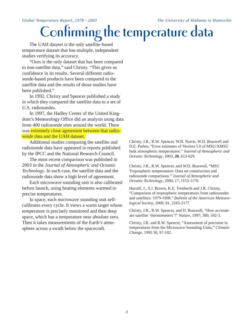### *Global Temperature Report, 1978 - 2003 The University of Alabama in Huntsville* **Confirming the temperature data**

The UAH dataset is the only satellite-based temperature dataset that has multiple, independent studies verifying its accuracy.

"Ours is the only dataset that has been compared to non-satellite data," said Christy. "This gives us confidence in its results. Several different radiosonde-based products have been compared to the satellite data and the results of those studies have been published."

In 1992, Christy and Spencer published a study in which they compared the satellite data to a set of U.S. radiosondes.

In 1997, the Hadley Center of the United Kingdom's Meteorology Office did an analysis using data from 400 radiosonde sites around the world. There was extremely close agreement between that radiosonde data and the UAH dataset.

Additional studies comparing the satellite and radiosonde data have appeared in reports published by the IPCC and the National Research Council.

The most recent comparison was published in 2003 in the *Journal of Atmospheric and Oceanic Technology*. In each case, the satellite data and the radiosonde data show a high level of agreement.

Each microwave sounding unit is also calibrated before launch, using heating elements warmed to precise temperatures.

In space, each microwave sounding unit selfcalibrates every cycle. It views a warm target whose temperature is precisely monitored and then deep space, which has a temperature near absolute zero. Then it takes measurements of the Earth's atmosphere across a swath below the spacecraft.

Christy, J.R., R.W. Spencer, W.B. Norris, W.D. Braswell and D.E. Parker, "Error estimates of Version 5.0 of MSU/AMSU bulk atmospheric temperatures." *Journal of Atmospheric and Oceanic Technology*, 2003, **20**, 613-629.

Christy, J.R., R.W. Spencer, and W.D. Braswell, "MSU Tropospheric temperatures: Data set construction and radiosonde comparisons." *Journal of Atmospheric and Oceanic Technology*, 2000, 17, 1153-1170.

Hurrell, J., S.J. Brown, K.E. Trenberth and J.R. Christy, "Comparison of tropospheric temperatures from radiosondes and satellites: 1979-1998." *Bulletin of the American Meteorological Society*, 2000, 81, 2165-2177.

Christy, J.R., R.W. Spencer, and D. Braswell, "How accurate are satellite 'thermometers'?" *Nature*, 1997, 389, 342-3.

Christy, J.R. and R.W. Spencer, "Assessment of precision in temperatures from the Microwave Sounding Units," *Climatic Change*, 1995 30, 97-102.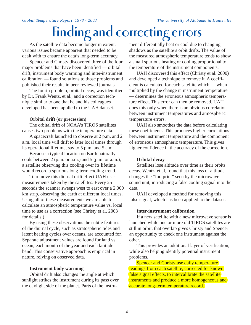# **Finding and correcting errors**

As the satellite data become longer in extent, various issues became apparent that needed to be dealt with to ensure the data's long-term accuracy.

Spencer and Christy discovered three of the four major problems that have been identified — orbital drift, instrument body warming and inter-instrument calibration — found solutions to those problems and published their results in peer-reviewed journals.

The fourth problem, orbital decay, was identified by Dr. Frank Wentz, et al., and a correction technique similar to one that he and his colleagues developed has been applied to the UAH dataset.

#### **Orbital drift (or precession)**

The orbital drift of NOAA's TIROS satellites causes two problems with the temperature data.

A spacecraft launched to observe at 2 p.m. and 2 a.m. local time will drift to later local times through its operational lifetime, say to 5 p.m. and 5 a.m.

Because a typical location on Earth naturally cools between 2 (p.m. or a.m.) and 5 (p.m. or a.m.), a satellite observing this cooling over its lifetime would record a spurious long-term cooling trend.

To remove this diurnal drift effect UAH uses measurements taken by the satellites. Every 25 seconds the scanner sweeps west to east over a 2,000 km strip, observing the earth at different local times. Using all of these measurements we are able to calculate an atmospheric temperature value vs. local time to use as a correction (see Christy et al. 2003 for details.)

By using these observations the subtle features of the diurnal cycle, such as stratospheric tides and latent heating cycles over oceans, are accounted for. Separate adjustment values are found for land vs. ocean, each month of the year and each latitude band. This conservative approach is empirical in nature, relying on observed data.

#### **Instrument body warming**

Orbital drift also changes the angle at which sunlight strikes the instrument during its pass over the daylight side of the planet. Parts of the instrument differentially heat or cool due to changing shadows as the satellite's orbit drifts. The value of the measured atmospheric temperature tends to show a small spurious heating or cooling proportional to the temperature of the instrument components.

UAH discovered this effect (Christy et al. 2000) and developed a technique to remove it. A coefficient is calculated for each satellite which — when multiplied by the change in instrument temperature — determines the erroneous atmospheric temperature effect. This error can then be removed. UAH does this only when there is an obvious correlation between instrument temperatures and atmospheric temperature errors.

UAH also smoothes the data before calculating these coefficients. This produces higher correlations between instrument temperature and the component of erroneous atmospheric temperature. This gives higher confidence in the accuracy of the correction.

#### **Orbital decay**

Satellites lose altitude over time as their orbits decay. Wentz, et al, found that this loss of altitude changes the "footprint" seen by the microwave sound unit, introducing a false cooling signal into the data.

UAH developed a method for removing this false signal, which has been applied to the dataset.

#### **Inter-instrument calibration**

If a new satellite with a new microwave sensor is launched while one or more old TIROS satellites are still in orbit, that overlap gives Christy and Spencer an opportunity to check one instrument against the other.

This provides an additional layer of verification, while also helping identify potential instrument problems.

Spencer and Christy use daily temperature readings from each satellite, corrected for known false signal effects, to intercalibrate the satellite instruments and produce a more homogeneous and accurate long-term temperature record.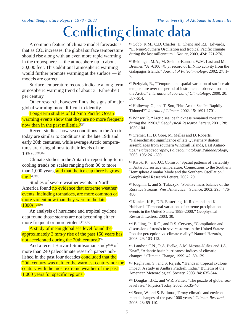### *Global Temperature Report, 1978 - 2003 The University of Alabama in Huntsville* **Conflicting climate data**

A common feature of climate model forecasts is that as  $CO<sub>2</sub>$  increases, the global surface temperature should rise along with an even more rapid warming in the troposphere — the atmosphere up to about 30,000 feet. This additional atmospheric warming would further promote warming at the surface — if models are correct.

Surface temperature records indicate a long-term atmospheric warming trend of about 3° Fahrenheit per century.

Other research, however, finds the signs of major global warming more difficult to identify.

Long-term studies of El Niño Pacific Ocean warming events show that they are no more frequent now than in the past millenia. $(1)(2)$ 

Recent studies show sea conditions in the Arctic today are similar to conditions in the late 19th and early 20th centuries, while average Arctic temperatures are rising almost to their levels of the 1930s.(3)(4)(5)

Climate studies in the Antarctic report long-term cooling trends on scales ranging from 30 to more than  $1,000$  years, and that the ice cap there is grow- $\frac{\text{ing}}{10}$ . (6)(7)(8)

Studies of severe weather events in North America found no evidence that extreme weather events, including tornadoes, are more common or more violent now than they were in the late  $1800s^{(9)(10)}$ 

An analysis of hurricane and tropical cyclone data found those storms are not becoming either more frequent or more violent.<sup>(11)(12)</sup>

A study of mean global sea level found the approximately 3 mm/y rise of the past 150 years has not accelerated during the 20th century.<sup>(13)</sup>

And a recent Harvard-Smithsonian study<sup>(14)</sup> of more than 240 paleoclimate research papers published in the past four decades concluded that the 20th century was neither the warmest century nor the century with the most extreme weather of the past 1,000 years for specific regions.

(1) Cobb, K.M., C.D. Charles, H. Cheng and R.L. Edwards, "El Niño/Southern Oscillation and tropical Pacific climate during the last millennium." *Nature*, 2003. 424: 271-276.

(2) Reidinger, M.A., M. Steinitz-Kannan, W.M. Last and M. Brenner, "A ~6100<sup>14</sup>C yr record of El Niño activity from the Galapagos Islands." *Journal of Paleolimnology*, 2002. 27: 1- 7.

(3) Przbylak, R., "Temporal and spatial variation of surface air temperature over the period of instrumental observations in the Arctic." *International Journal of Climatology*, 2000. 20: 587-614.

(4) Holloway, G., and T. Sou, "Has Arctic Sea Ice Rapidly Thinned?" *Journal of Climate*, 2002. 15: 1691-1701.

(5) Winsor, P., "Arctic sea ice thickness remained constant during the 1990s." *Geophysical Research Letters*, 2001. 28: 1039-1041.

(6) Cremer, H., D. Gore, M. Melles and D. Roberts, "Palaeoclimatic significance of late Quaternary diatom assemblages from southern Windmill Islands, East Antarctica." *Palaeogeography, Palaeoclimatology, Palaeoecology*, 2003. 195: 261-280.

(7) Kwok, R., and J.C. Comiso, "Spatial patterns of variability in Antarctic surface temperature: Connections to the Southern Hemisphere Annular Mode and the Southern Oscillation." Geophysical Research Letters, 2002. 29.

(8) Joughin, I., and S. Tulaczyk, "Positive mass balance of the Ross Ice Streams, West Antarctica." Science, 2002. 295: 476- 480.

(9) Kunkel, K.E., D.R. Easterling, K. Redmond and K. Hubbard, "Temporal variations of extreme precipitation events in the United States: 1895-2000." Geophysical Research Letters, 2003. 30.

(10) Balling, Jr., R.C., and R.S. Cerveny, "Compilation and discussion of trends in severe storms in the United States: Popular perception vs. climate reality." Natural Hazards, 2003. 29: 103-112.

(11) Landsea C.N., R.A. Pielke, A.M. Mestas-Nuñez and J.A. Knaff, "Atlantic basin hurricanes: Indices of climatic changes." Climatic Change, 1999. 42: 89-129.

(12) Raghavan, S., and S. Rajesh, "Trends in tropical cyclone impact: A study in Andhra Pradesh, India." Bulletin of the American Meteorological Society, 2003. 84: 635-644.

(13) Douglas, B.C., and W.R. Peltier, "The puzzle of global sealevel rise." Physics Today, 2002. 55:35-40.

(14) Soon, W. and S. Baliunas,"Proxy climatic and environmental changes of the past 1000 years." *Climate Research,* 2003, 23: 89-110.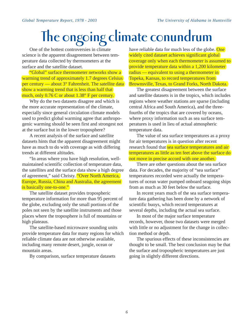# **The ongoing climate conundrum**

One of the hottest controversies in climate science is the apparent disagreement between temperature data collected by thermometers at the surface and the satellite dataset.

"Global" surface thermometer networks show a warming trend of approximately 1.7 degrees Celsius per century — about  $3^\circ$  Fahrenheit. The satellite data show a warming trend that is less than half that much, only 0.76 C or about 1.38° F per century.

Why do the two datasets disagree and which is the more accurate representation of the climate, especially since general circulation climate models used to predict global warming agree that anthropogenic warming should be seen first and strongest not at the surface but in the lower troposphere?

A recent analysis of the surface and satellite datasets hints that the apparent disagreement might have as much to do with coverage as with differing trends at different altitudes.

"In areas where you have high resolution, wellmaintained scientific collection of temperature data, the satellites and the surface data show a high degree of agreement," said Christy. "Over North America, Europe, Russia, China and Australia, the agreement is basically one-to-one."

The satellite dataset provides tropospheric temperature information for more than 95 percent of the globe, excluding only the small portions of the poles not seen by the satellite instruments and those places where the troposphere is full of mountains or high plateaus.

The satellite-based microwave sounding units provide temperature data for many regions for which reliable climate data are not otherwise available, including many remote desert, jungle, ocean or mountain areas.

By comparison, surface temperature datasets

have reliable data for much less of the globe. One widely cited dataset achieves significant global coverage only when each thermometer is assumed to provide temperature data within a 1,200 kilometer radius — equivalent to using a thermometer in Topeka, Kansas, to record temperatures from Brownsville, Texas, to Grand Forks, North Dakota.

The greatest disagreement between the surface and satellite datasets is in the tropics, which includes regions where weather stations are sparse (including central Africa and South America), and the threefourths of the tropics that are covered by oceans, where proxy information such as sea surface temperatures is used in lieu of actual atmospheric temperature data.

The value of sea surface temperatures as a proxy for air temperatures is in question after recent research found that sea surface temperatures and air temperatures as little as ten feet above the surface do not move in precise accord with one another.

There are other questions about the sea surface data. For decades, the majority of "sea surface" temperatures recorded were actually the temperatures of ocean water pumped onboard seagoing ships from as much as 30 feet below the surface.

In recent years much of the sea surface temperature data gathering has been done by a network of scientific buoys, which record temperatures at several depths, including the actual sea surface.

In most of the major surface temperature records, however, those two datasets were merged with little or no adjustment for the change in collection method or depth.

The spurious effects of these inconsistencies are thought to be small. The best conclusion may be that the surface and tropospheric temperatures are just going in slightly different directions.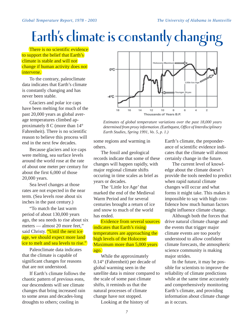# **Earth's climate is constantly changing**

There is no scientific evidence to support the belief that Earth's climate is stable and will not change if human activity does not intervene.

To the contrary, paleoclimate data indicates that Earth's climate is constantly changing and has never been stable.

Glaciers and polar ice caps have been melting for much of the past 20,000 years as global average temperatures climbed approximately 8 C (more than 14° Fahrenheit). There is no scientific reason to believe this process will end in the next few decades.

Because glaciers and ice caps were melting, sea surface levels around the world rose at the rate of about one meter per century for about the first 6,000 of those 20,000 years.

Sea level changes at those rates are not expected in the near term. (Sea levels rose about six inches in the past century.)

"To match the last warm period of about 130,000 years ago, the sea needs to rise about six meters — almost 20 more feet," said Christy. "Until the next ice age, we should expect more land ice to melt and sea levels to rise."

Paleoclimate data indicates that the climate is capable of significant changes for reasons that are not understood.

If Earth's climate follows the chaotic pattern of previous eons, our descendents will see climate changes that bring increased rain to some areas and decades-long droughts to others; cooling in



*Estimates of global temperature variations over the past 18,000 years determined from proxy information. (*Earthquest*, Office of Interdisciplinary Earth Studies, Spring 1991, Vo. 5, p. 1.)*

some regions and warming in others.

The fossil and geological records indicate that some of these changes will happen rapidly, with major regional climate shifts occuring in time scales as brief as years or decades.

The 'Little Ice Age' that marked the end of the Medieval Warm Period and for several centuries brought a return of ice and snow to much of the world has ended.

Evidence from several sources indicates that Earth's rising temperatures are approaching the high levels of the Holocene Maximum more than 5,000 years ago.

While the approximately 0.14° (Fahrenheit) per decade of global warming seen in the satellite data is minor compared to the scale of some past climate shifts, it reminds us that the natural processes of climate change have not stopped.

Looking at the history of

Earth's climate, the preponderance of scientific evidence indicates that the climate will almost certainly change in the future.

The current level of knowledge about the climate doesn't provide the tools needed to predict when rapid natural climate changes will occur and what forms it might take. This makes it impossible to say with high confidence how much human factors might influence climate change.

Although both the forces that drive natural climate change and the events that trigger major climate events are too poorly understood to allow confident climate forecasts, the atmospheric science community is making major strides.

In the future, it may be possible for scientists to improve the reliability of climate predictions while at the same time accurately and comprehensively monitoring Earth's climate, and providing information about climate change as it occurs.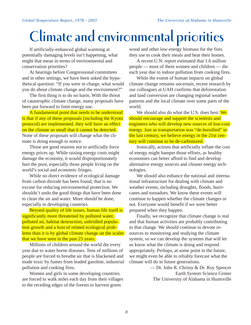# **Climate and environmental priorities**

If artificially-enhanced global warming at potentially damaging levels isn't happening, what might that mean in terms of environmental and conservation priorities?

At hearings before Congressional committees and in other settings, we have been asked the hypothetical question: "If you were in charge, what would you do about climate change and the environment?"

The first thing is to do no harm. With the threat of catastrophic climate change, many proposals have been put forward to limit energy use.

A fundamental point that needs to be understood is that if any of these proposals (including the Kyoto protocol) are implemented, they will have an effect on the climate so small that it cannot be detected. None of these proposals will change what the climate is doing enough to notice.

Those are good reasons not to artificially force energy prices up. While raising energy costs might damage the economy, it would disproportionately hurt the poor, especially those people living on the world's social and economic fringes.

While no direct evidence of ecological damage from carbon dioxide has been found, that is no excuse for reducing environmental protection. We shouldn't undo the good things that have been done to clean the air and water. More should be done, especially in developing countries.

Beyond quality of life issues, human life itself is significantly more threatened by polluted water, polluted air, habitat destruction, unbridled population growth and a host of related ecological problems than it is by global climate change on the scales that we have seen in the past 25 years.

Millions of children around the world die every year due to water borne diseases. Tens of millions of people are forced to breathe air that is blackened and made toxic by fumes from leaded gasoline, industrial pollution and cooking fires.

Women and girls in some developing countries are forced to walk miles each day from their villages to the receding edges of the forests to harvest green

wood and other low-energy biomass for the fires they use to cook their meals and heat their homes.

A recent U.N. report estimated that 1.6 million people — most of them women and children — die each year due to indoor pollution from cooking fires.

While the extent of human impacts on global climate change remains uncertain, recent research by our colleagues at UAH confirms that deforestation and land conversion are changing regional weather patterns and the local climate over some parts of the world.

We should also do what the U.S. does best: We should encourage and support the scientists and engineers who will develop new sources of low-cost energy. Just as transportation was "de-horsified" in the last century, we believe energy in the 21st century will continue to be de-carbonized.

Ironically, actions that artificially inflate the cost of energy might hamper those efforts, as healthy economies can better afford to find and develop alternative energy sources and cleaner energy technologies.

We should also enhance the national and international infrastructure for dealing with climate and weather events, including droughts, floods, hurricanes and tornadoes. We know these events will continue to happen whether the climate changes or not. Everyone would benefit if we were better prepared when they happen.

Finally, we recognize that climate change is real and that human activities are probably contributing to that change. We should continue to devote resources to monitoring and studying the climate system, so we can develop the systems that will let us know what the climate is doing and respond appropriately. Perhaps, at some point in the future, we might even be able to reliably forecast what the climate will do in future generations.

> — Dr. John R. Christy & Dr. Roy Spencer Earth System Science Center The University of Alabama in Huntsville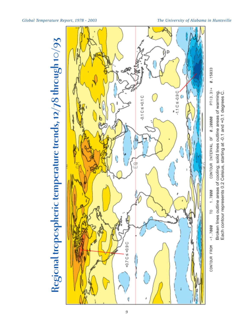



Broken lines outline areas of cooling; solid lines outline areas of warming.<br>Each contour represents 0.2 Celsius, starting at -0.1 and +0.1 degrees C.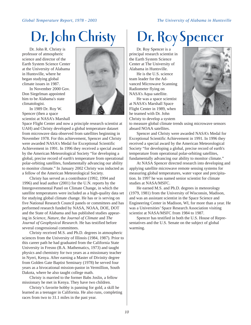Dr. John R. Christy is professor of atmospheric science and director of the Earth System Science Center at the University of Alabama in Huntsville, where he began studying global climate issues in 1987.

In November 2000 Gov. Don Siegelman appointed him to be Alabama's state climatologist.

In 1989 Dr. Roy W. Spencer (then a space scientist at NASA's Marshall

Space Flight Center and now a principle research scientist at UAH) and Christy developed a global temperature dataset from microwave data observed from satellites beginning in November 1978. For this achievement, Spencer and Christy were awarded NASA's Medal for Exceptional Scientific Achievement in 1991. In 1996 they received a special award by the American Meteorological Society "for developing a global, precise record of earth's temperature from operational polar-orbiting satellites, fundamentally advancing our ability to monitor climate." In January 2002 Christy was inducted as a fellow of the American Meteorological Society.

Christy has served as a contributor (1992, 1994 and 1996) and lead author (2001) for the U.N. reports by the Intergovernmental Panel on Climate Change, in which the satellite temperatures were included as a high-quality data set for studying global climate change. He has or is serving on five National Research Council panels or committees and has performed research funded by NASA, NOAA, DOE, DOT and the State of Alabama and has published studies appearing in *Science*, *Nature*, the *Journal of Climate* and *The Journal of Geophysical Research*. He has testified before several congressional committees.

Christy received M.S. and Ph.D. degrees in atmospheric sciences from the University of Illinois (1984, 1987). Prior to this career path he had graduated from the California State University in Fresno (B.A. Mathematics, 1973) and taught physics and chemistry for two years as a missionary teacher in Nyeri, Kenya. After earning a Master of Divinity degree from Golden Gate Baptist Seminary (1978) he served four years as a bivocational mission-pastor in Vermillion, South Dakota, where he also taught college math.

Christy is married to the former Babs Joslin, a fellow missionary he met in Kenya. They have two children.

Christy's favorite hobby is panning for gold, a skill he learned as a teenager in California. He also runs, completing races from two to 31.1 miles in the past year.



# Dr. John Christy | Dr. Roy Spencer

Dr. Roy Spencer is a principal research scientist in the Earth System Science Center at The University of Alabama in Huntsville.

He is the U.S. science team leader for the Advanced Microwave Scanning Radiometer flying on NASA's Aqua satellite.

He was a space scientist at NASA's Marshall Space Flight Center in 1989, when he teamed with Dr. John Christy to develop a system



to measure global climate trends using microwave sensors aboard NOAA satellites.

Spencer and Christy were awarded NASA's Medal for Exceptional Scientific Achievement in 1991. In 1996 they received a special award by the American Meteorological Society "for developing a global, precise record of earth's temperature from operational polar-orbiting satellites, fundamentally advancing our ability to monitor climate."

At NASA Spencer directed research into developing and applying satellite microwave remote sensing systems for measuring global temperatures, water vapor and precipitation. In 1997 he was named senior scientist for climate studies at NASA/MSFC.

He earned M.S. and Ph.D. degrees in meteorology (1979, 1981) from the University of Wisconsin, Madison, and was an assistant scientist in the Space Science and Engineering Center in Madison, WI, for more than a year. He was a Universities' Space Research Association visiting scientist at NASA/MSFC from 1984 to 1987.

Spencer has testified in both the U.S. House of Representatives and the U.S. Senate on the subject of global warming.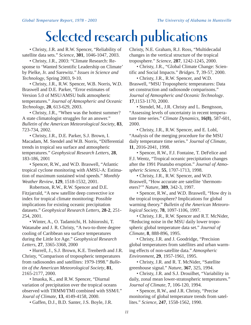### **Selected research publications**

• Christy, J.R. and R.W. Spencer, "Reliability of satellite data sets." *Science*, **301**, 1046-1047, 2003.

• Christy, J.R., 2003: "Climate Research: Response to 'Wanted Scientific Leadership on Climate' by Pielke, Jr. and Sarewitz." *Issues in Science and Technology*, Spring 2003, 9-10.

• Christy, J.R., R.W. Spencer, W.B. Norris, W.D. Braswell and D.E. Parker, "Error estimates of Version 5.0 of MSU/AMSU bulk atmospheric temperatures." *Journal of Atmospheric and Oceanic Technology*, **20**, 613-629, 2003.

• Christy, J.R., "When was the hottest summer? A state climatologist struggles for an answer." *Bulletin of the American Meteorological Society*, **83**, 723-734, 2002.

• Christy, J.R., D.E. Parker, S.J. Brown, I. Macadam, M. Stendel and W.B. Norris, "Differential trends in tropical sea surface and atmospheric temperatures." *Geophysical Research Letters*, **28**, 183-186, 2001

• Spencer, R.W., and W.D. Braswell, "Atlantic tropical cyclone monitoring with AMSU-A: Estimation of maximum sustained wind speeds." *Monthly Weather Review*, **129**, 1518-1532, 2001.

Robertson, R.W., R.W. Spencer and D.E. Fitzjarrald, "A new satellite deep convective ice index for tropical climate monitoring: Possible implications for existing oceanic precipitation datasets." *Geophysical Research Letters*, **28-2**, 251- 254, 2001.

• Winter, A., O. Tadamichi, H. Ishioroshi, T. Watanabe and J. R. Christy, "A two-to-three degree cooling of Caribbean sea surface temperatures during the Little Ice Age." *Geophysical Research Letters*, **27**, 3365-3368, 2000

• Hurrell, J., S.J. Brown, K.E. Trenberth and J.R. Christy, "Comparison of tropospheric temperatures from radiosondes and satellites: 1979-1998." *Bulletin of the American Meteorological Society*, **81**, 2165-2177, 2000.

• Imaoka, K., and R.W. Spencer, "Diurnal variation of precipitation over the tropical oceans observed with TRMM/TMI combined with SSM/I." *Joural of Climate*, **13**, 4149-4158, 2000.

• Gaffen, D.J., B.D. Santer, J.S. Boyle, J.R.

Christy, N.E. Graham, R.J. Ross, "Multidecadal changes in the vertical structure of the tropical troposphere." *Science*, **287**, 1242-1245, 2000.

• Christy, J.R., "Global Climate Change: Scientific and Social Impacts." *Bridges*. **7**, 39-57, 2000.

• Christy, J.R., R.W. Spencer, and W.D. Braswell, "MSU Tropospheric temperatures: Data set construction and radiosonde comparisons." *Journal of Atmospheric and Oceanic Technology*. **17**,1153-1170, 2000.

• Stendel, M., J.R. Christy and L. Bengtsson, "Assessing levels of uncertainty in recent temperature time series." *Climate Dynamics*, **16(8)**, 587-601, 2000.

• Christy, J.R., R.W. Spencer, and E. Lobl, "Analysis of the merging procedure for the MSU daily temperature time series." *Journal of Climate*, **11**, 2016-2041, 1998.

• Spencer, R.W., F.J. Fontaine, T. DeFelice and F.J. Wentz, "Tropical oceanic precipitation changes after the 1991 Pinatubo eruption." *Journal of Atmospheric Science*, **55**, 1707-1713, 1998.

• Christy, J.R., R.W. Spencer, and W.D. Braswell, "How accurate are satellite 'thermometers?'" *Nature*, **389**, 342-3, 1997.

• Spencer, R.W., and W.D. Braswell, "How dry is the tropical troposphere? Implications for global warming theory." *Bulletin of the American Meteorological Society*, **78**, 1097-1106, 1997.

• Christy, J.R., R.W. Spencer and R.T. McNider, "Reducing noise in the MSU daily lower tropospheric global temperature data set." *Journal of Climate*, **8**, 888-896, 1995.

• Christy, J.R. and J. Goodridge, "Precision global temperatures from satellites and urban warming effects of non-satellite data." *Atmospheric Environment*, **29**, 1957-1961, 1995.

• Christy, J.R. and R. T. McNider, "Satellite greenhouse signal." *Nature*, **367**, 325, 1994.

• Christy, J.R. and S.J. Drouilhet, "Variability in daily, zonal mean lower-stratospheric temperatures." *Journal of Climate*, **7**, 106-120, 1994.

• Spencer, R.W., and J.R. Christy, "Precise monitoring of global temperature trends from satellites." *Science*, **247**, 1558-1562, 1990.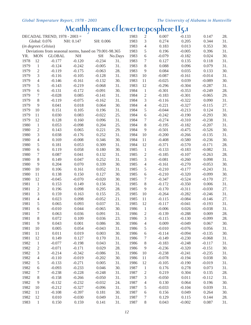### **Monthly means of lower troposphere LT5.1**

| DECADAL TREND, 1978 - 2003 =                           |                  |               |           |                     |         | 1983 | $\overline{\mathbf{c}}$ | 0.007    | $-0.133$ | 0.147    | 28. |
|--------------------------------------------------------|------------------|---------------|-----------|---------------------|---------|------|-------------------------|----------|----------|----------|-----|
|                                                        | Global: 0.076    |               | NH: 0.147 | SH: 0.006           |         | 1983 | 3                       | 0.274    | 0.205    | 0.344    | 31. |
| (in degrees Celsius)                                   |                  |               |           |                     |         | 1983 | 4                       | 0.183    | 0.013    | 0.353    | 30. |
| Deviations from seasonal norms, based on 79.001-98.365 |                  |               |           |                     |         |      | 5                       | 0.196    | $-0.005$ | 0.396    | 31. |
| YR.                                                    | <b>MON</b>       | <b>GLOBAL</b> | $\rm NH$  | $\operatorname{SH}$ | No.Days | 1983 | 6                       | $-0.079$ | $-0.182$ | 0.024    | 30. |
| 1978                                                   | 12               | $-0.177$      | $-0.120$  | $-0.234$            | 31.     | 1983 | 7                       | 0.127    | 0.135    | 0.118    | 31. |
| 1979                                                   | $\mathbf{1}$     | $-0.124$      | $-0.242$  | $-0.005$            | 31.     | 1983 | 8                       | 0.088    | 0.096    | 0.079    | 31. |
| 1979                                                   | $\mathbf{2}$     | $-0.119$      | $-0.175$  | $-0.063$            | 28.     | 1983 | 9                       | 0.084    | 0.035    | 0.133    | 30. |
| 1979                                                   | 3                | $-0.116$      | $-0.105$  | $-0.128$            | 31.     | 1983 | 10                      | $-0.087$ | $-0.161$ | $-0.014$ | 31. |
| 1979                                                   | $\overline{4}$   | $-0.146$      | $-0.161$  | $-0.132$            | 30.     | 1983 | 11                      | $-0.025$ | 0.039    | $-0.089$ | 30. |
| 1979                                                   | 5                | $-0.143$      | $-0.219$  | $-0.068$            | 31.     | 1983 | 12                      | $-0.296$ | $-0.304$ | $-0.287$ | 31. |
| 1979                                                   | 6                | $-0.131$      | $-0.172$  | $-0.091$            | 30.     | 1984 | $\mathbf{1}$            | $-0.301$ | $-0.353$ | $-0.249$ | 28. |
| 1979                                                   | 7                | $-0.028$      | 0.085     | $-0.141$            | 31.     | 1984 | $\overline{c}$          | $-0.183$ | $-0.301$ | $-0.065$ | 29. |
| 1979                                                   | $8\,$            | $-0.119$      | $-0.075$  | $-0.162$            | 31.     | 1984 | 3                       | $-0.116$ | $-0.322$ | 0.090    | 31. |
| 1979                                                   | 9                | 0.041         | 0.018     | 0.064               | 30.     | 1984 | 4                       | $-0.221$ | $-0.327$ | $-0.115$ | 27. |
| 1979                                                   | $10\,$           | 0.151         | 0.105     | 0.196               | 31.     | 1984 | 5                       | $-0.044$ | $-0.213$ | 0.124    | 31. |
| 1979                                                   | 11               | 0.030         | 0.083     | $-0.022$            | 25.     | 1984 | 6                       | $-0.242$ | $-0.190$ | $-0.293$ | 30. |
| 1979                                                   | 12               | 0.128         | 0.160     | 0.096               | 31.     | 1984 | 7                       | $-0.274$ | $-0.310$ | $-0.238$ | 31. |
| 1980                                                   | $\mathbf{1}$     | 0.053         | $-0.098$  | 0.204               | 25.     | 1984 | 8                       | $-0.195$ | $-0.182$ | $-0.207$ | 31. |
| 1980                                                   | $\sqrt{2}$       | 0.143         | 0.065     | 0.221               | 29.     | 1984 | 9                       | $-0.501$ | $-0.475$ | $-0.526$ | 30. |
| 1980                                                   | 3                | 0.038         | $-0.176$  | 0.252               | 31.     | 1984 | 10                      | $-0.200$ | $-0.266$ | $-0.135$ | 31. |
| 1980                                                   |                  | 0.169         | $-0.008$  | 0.346               | 30.     | 1984 |                         | $-0.408$ | $-0.580$ | $-0.236$ | 30. |
|                                                        | $\overline{4}$   |               |           |                     |         |      | 11                      |          |          |          |     |
| 1980                                                   | 5                | 0.181         | 0.053     | 0.309               | 31.     | 1984 | 12                      | $-0.371$ | $-0.570$ | $-0.171$ | 28. |
| 1980                                                   | 6                | 0.119         | 0.058     | 0.180               | 30.     | 1985 | $\mathbf{1}$            | $-0.133$ | $-0.183$ | $-0.082$ | 31. |
| 1980                                                   | $\tau$           | 0.087         | 0.041     | 0.132               | 31.     | 1985 | $\overline{c}$          | $-0.185$ | $-0.107$ | $-0.263$ | 28. |
| 1980                                                   | $8\,$            | 0.149         | 0.047     | 0.252               | 31.     | 1985 | 3                       | $-0.081$ | $-0.260$ | 0.098    | 31. |
| 1980                                                   | 9                | 0.204         | 0.070     | 0.339               | 30.     | 1985 | 4                       | $-0.161$ | $-0.270$ | $-0.053$ | 30. |
| 1980                                                   | $10\,$           | 0.106         | 0.161     | 0.052               | 31.     | 1985 | 5                       | $-0.210$ | $-0.177$ | $-0.243$ | 31. |
| 1980                                                   | 11               | 0.138         | 0.150     | 0.127               | 30.     | 1985 | 6                       | $-0.210$ | $-0.320$ | $-0.099$ | 30. |
| 1980                                                   | 12               | $-0.045$      | $-0.070$  | $-0.020$            | 30.     | 1985 | 7                       | $-0.347$ | $-0.524$ | $-0.170$ | 27. |
| 1981                                                   | $\mathbf{1}$     | 0.153         | 0.149     | 0.156               | 31.     | 1985 | 8                       | $-0.172$ | $-0.350$ | 0.006    | 31. |
| 1981                                                   | $\mathbf{2}$     | 0.196         | 0.098     | 0.295               | 28.     | 1985 | 9                       | $-0.170$ | $-0.311$ | $-0.030$ | 27. |
| 1981                                                   | 3                | 0.159         | 0.163     | 0.155               | 25.     | 1985 | 10                      | $-0.264$ | $-0.282$ | $-0.246$ | 31. |
| 1981                                                   | $\overline{4}$   | 0.023         | 0.098     | $-0.052$            | 21.     | 1985 | 11                      | $-0.115$ | $-0.084$ | $-0.146$ | 27. |
| 1981                                                   | 5                | 0.065         | 0.093     | 0.037               | 31.     | 1985 | 12                      | $-0.117$ | $-0.041$ | $-0.193$ | 31. |
| 1981                                                   | 6                | $-0.010$      | 0.044     | $-0.065$            | 30.     | 1986 | $\mathbf{1}$            | $-0.006$ | 0.026    | $-0.038$ | 31. |
| 1981                                                   | $\boldsymbol{7}$ | 0.063         | 0.036     | 0.091               | 31.     | 1986 | $\overline{c}$          | $-0.139$ | $-0.288$ | 0.009    | 28. |
| 1981                                                   | $8\,$            | 0.072         | 0.109     | 0.036               | 23.     | 1986 | 3                       | $-0.115$ | $-0.130$ | $-0.099$ | 28. |
| 1981                                                   | 9                | 0.043         | 0.001     | 0.086               | 30.     | 1986 | 4                       | 0.009    | $-0.049$ | 0.067    | 30. |
| 1981                                                   | 10               | 0.005         | 0.054     | $-0.043$            | 31.     | 1986 | 5                       | $-0.010$ | $-0.076$ | 0.056    | 31. |
| 1981                                                   | 11               | 0.011         | 0.019     | 0.003               | 30.     | 1986 | $\sqrt{6}$              | $-0.114$ | $-0.094$ | $-0.135$ | 30. |
| 1981                                                   | 12               | 0.149         | 0.127     | 0.170               | 31.     | 1986 | 7                       | $-0.149$ | $-0.230$ | $-0.068$ | 31. |
| 1982                                                   | $\,1\,$          | $-0.077$      | $-0.198$  | 0.043               | 31.     | 1986 | $8\,$                   | $-0.183$ | $-0.248$ | $-0.117$ | 31. |
| 1982                                                   | $\sqrt{2}$       | $-0.071$      | $-0.171$  | 0.029               | 28.     | 1986 | 9                       | $-0.236$ | $-0.320$ | $-0.151$ | 30. |
| 1982                                                   | 3                | $-0.214$      | $-0.342$  | $-0.086$            | 31.     | 1986 | 10                      | $-0.238$ | $-0.241$ | $-0.235$ | 31. |
| 1982                                                   | $\overline{4}$   | $-0.110$      | $-0.019$  | $-0.202$            | 30.     | 1986 | 11                      | $-0.078$ | $-0.194$ | 0.038    | 30. |
| 1982                                                   | 5                | $-0.133$      | $-0.271$  | 0.005               | 31.     | 1986 | 12                      | $-0.105$ | $-0.190$ | $-0.019$ | 31. |
| 1982                                                   | 6                | $-0.093$      | $-0.233$  | 0.046               | 30.     | 1987 | $\mathbf{1}$            | 0.176    | 0.278    | 0.073    | 31. |
| 1982                                                   | 7                | $-0.238$      | $-0.228$  | $-0.248$            | 31.     | 1987 | $\mathfrak{2}$          | 0.219    | 0.304    | 0.135    | 28. |
| 1982                                                   | 8                | $-0.158$      | $-0.266$  | $-0.050$            | 31.     | 1987 |                         | $-0.050$ | 0.011    | $-0.112$ | 31. |
| 1982                                                   | $\overline{9}$   |               | $-0.232$  | $-0.032$            | 24.     | 1987 | 3                       | 0.130    | 0.064    | 0.196    | 30. |
|                                                        |                  | $-0.132$      |           |                     |         |      | 4                       |          |          |          |     |
| 1982                                                   | 10               | $-0.212$      | $-0.327$  | $-0.096$            | 31.     | 1987 | 5                       | $-0.033$ | $-0.104$ | 0.039    | 31. |
| 1982                                                   | 11               | $-0.108$      | $-0.397$  | 0.181               | 30.     | 1987 | 6                       | 0.156    | 0.049    | 0.264    | 30. |
| 1982                                                   | 12               | 0.010         | $-0.030$  | 0.049               | 31.     | 1987 | $\tau$                  | 0.129    | 0.115    | 0.144    | 28. |
| 1983                                                   | $\mathbf{1}$     | 0.150         | 0.159     | 0.141               | 31.     | 1987 | $8\,$                   | 0.043    | $-0.002$ | 0.087    | 31. |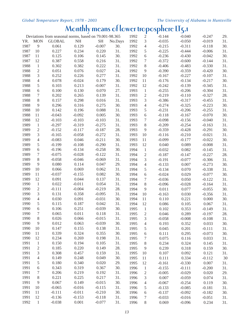### **Monthly means of lower troposphere LT5.1**

| Deviations from seasonal norms, based on 79.001-98.365 |                |               |           |           |         | 1992 | $\mathfrak{2}$ | $-0.144$ | $-0.040$ | $-0.247$ | 29. |
|--------------------------------------------------------|----------------|---------------|-----------|-----------|---------|------|----------------|----------|----------|----------|-----|
| YR.                                                    | <b>MON</b>     | <b>GLOBAL</b> | $\rm{NH}$ | <b>SH</b> | No.Days | 1992 | 3              | $-0.035$ | $-0.050$ | $-0.019$ | 31. |
| 1987                                                   | 9              | 0.061         | 0.129     | $-0.007$  | 30.     | 1992 | $\overline{4}$ | $-0.215$ | $-0.311$ | $-0.118$ | 30. |
| 1987                                                   | 10             | 0.227         | 0.234     | 0.220     | 31.     | 1992 | 5              | $-0.225$ | $-0.444$ | $-0.006$ | 31. |
| 1987                                                   | 11             | 0.125         | 0.106     | 0.145     | 30.     | 1992 | 6              | $-0.236$ | $-0.430$ | $-0.042$ | 30. |
| 1987                                                   | 12             | 0.387         | 0.558     | 0.216     | 31.     | 1992 | 7              | $-0.372$ | $-0.600$ | $-0.144$ | 31. |
| 1988                                                   | $\mathbf{1}$   | 0.302         | 0.382     | 0.222     | 31.     | 1992 | 8              | $-0.406$ | $-0.483$ | $-0.330$ | 31. |
| 1988                                                   | $\overline{2}$ | 0.051         | 0.076     | 0.027     | 24.     | 1992 | $\overline{9}$ | $-0.390$ | $-0.359$ | $-0.420$ | 30. |
| 1988                                                   | 3              | 0.252         | 0.226     | 0.277     | 31.     | 1992 | 10             | $-0.167$ | $-0.227$ | $-0.107$ | 31. |
| 1988                                                   | $\overline{4}$ | 0.078         | $-0.024$  | 0.179     | 30.     | 1992 | 11             | $-0.176$ | $-0.134$ | $-0.217$ | 30. |
| 1988                                                   | 5              | 0.103         | 0.213     | $-0.007$  | 31.     | 1992 | 12             | $-0.242$ | $-0.139$ | $-0.345$ | 31. |
| 1988                                                   | 6              | 0.100         | 0.130     | 0.070     | 27.     | 1993 | $\mathbf{1}$   | $-0.255$ | $-0.206$ | $-0.304$ | 31. |
| 1988                                                   | 7              | 0.202         | 0.265     | 0.139     | 31.     | 1993 | $\sqrt{2}$     | $-0.219$ | $-0.110$ | $-0.327$ | 28. |
| 1988                                                   | 8              | 0.157         | 0.298     | 0.016     | 31.     | 1993 | $\mathfrak{Z}$ | $-0.386$ | $-0.317$ | $-0.455$ | 31. |
| 1988                                                   | 9              | 0.296         | 0.316     | 0.275     | 30.     | 1993 | $\overline{4}$ | $-0.274$ | $-0.325$ | $-0.223$ | 30. |
| 1988                                                   | 10             | 0.142         | 0.196     | 0.088     | 31.     | 1993 | 5              | $-0.231$ | $-0.206$ | $-0.255$ | 31. |
| 1988                                                   | 11             | $-0.043$      | $-0.092$  | 0.005     | 30.     | 1993 | $6\,$          | $-0.118$ | $-0.167$ | $-0.070$ | 30. |
| 1988                                                   | 12             | $-0.103$      | $-0.103$  | $-0.103$  | 31.     | 1993 | $\tau$         | $-0.098$ | $-0.156$ | $-0.040$ | 31. |
| 1989                                                   | $\mathbf{1}$   | $-0.297$      | $-0.319$  | $-0.275$  | 31.     | 1993 | $8\,$          | $-0.209$ | $-0.254$ | $-0.163$ | 31. |
| 1989                                                   | $\sqrt{2}$     | $-0.152$      | $-0.117$  | $-0.187$  | 28.     | 1993 | $\overline{9}$ | $-0.359$ | $-0.428$ | $-0.291$ | 30. |
| 1989                                                   | 3              | $-0.165$      | $-0.058$  | $-0.272$  | 31.     | 1993 | 10             | $-0.116$ | $-0.210$ | $-0.021$ | 31. |
| 1989                                                   | $\overline{4}$ | $-0.083$      | 0.046     | $-0.211$  | 30.     | 1993 | $11\,$         | $-0.099$ | $-0.177$ | $-0.022$ | 30. |
| 1989                                                   | 5              | $-0.199$      | $-0.108$  | $-0.290$  | 31.     |      | 12             |          |          |          |     |
|                                                        |                |               |           |           |         | 1993 |                | 0.040    | 0.089    | $-0.008$ | 31. |
| 1989                                                   | 6              | $-0.196$      | $-0.134$  | $-0.258$  | 30.     | 1994 | $\mathbf{1}$   | $-0.032$ | 0.082    | $-0.145$ | 31. |
| 1989                                                   | 7              | $-0.075$      | $-0.028$  | $-0.122$  | 31.     | 1994 | $\sqrt{2}$     | $-0.187$ | $-0.147$ | $-0.227$ | 28. |
| 1989                                                   | $8\,$          | $-0.058$      | $-0.046$  | $-0.069$  | 31.     | 1994 | 3              | $-0.191$ | $-0.077$ | $-0.306$ | 31. |
| 1989                                                   | 9              | 0.080         | 0.114     | 0.047     | 29.     | 1994 | $\overline{4}$ | $-0.133$ | 0.007    | $-0.273$ | 30. |
| 1989                                                   | 10             | 0.066         | 0.069     | 0.062     | 31.     | 1994 | 5              | $-0.134$ | 0.070    | $-0.338$ | 31. |
| 1989                                                   | 11             | $-0.037$      | $-0.155$  | 0.082     | 30.     | 1994 | 6              | $-0.024$ | 0.029    | $-0.077$ | 30. |
| 1989                                                   | 12             | 0.091         | 0.044     | 0.137     | 31.     | 1994 | $\tau$         | $-0.036$ | 0.050    | $-0.122$ | 31. |
| 1990                                                   | $\mathbf{1}$   | 0.022         | $-0.011$  | 0.054     | 31.     | 1994 | 8              | $-0.096$ | $-0.028$ | $-0.164$ | 31. |
| 1990                                                   | $\mathfrak{2}$ | $-0.111$      | $-0.004$  | $-0.219$  | 28.     | 1994 | $\overline{9}$ | 0.011    | 0.077    | $-0.055$ | 30. |
| 1990                                                   | 3              | 0.131         | 0.358     | $-0.095$  | 31.     | 1994 | 10             | $-0.163$ | 0.030    | $-0.356$ | 31. |
| 1990                                                   | $\overline{4}$ | 0.030         | 0.091     | $-0.031$  | 30.     | 1994 | 11             | 0.110    | 0.221    | 0.000    | 30. |
| 1990                                                   | 5              | 0.115         | 0.187     | 0.042     | 31.     | 1994 | 12             | 0.086    | 0.105    | 0.067    | 31. |
| 1990                                                   | 6              | 0.106         | 0.251     | $-0.039$  | 30.     | 1995 | $\mathbf{1}$   | 0.102    | 0.353    | $-0.149$ | 31. |
| 1990                                                   | 7              | 0.065         | 0.011     | 0.118     | 31.     | 1995 | $\overline{2}$ | 0.046    | 0.289    | $-0.197$ | 28. |
| 1990                                                   | $8\,$          | 0.026         | 0.066     | $-0.015$  | 31.     | 1995 | $\mathfrak{Z}$ | $-0.058$ | $-0.008$ | $-0.108$ | 31. |
| 1990                                                   | 9              | 0.012         | 0.063     | $-0.039$  | 30.     | 1995 | $\overline{4}$ | 0.193    | 0.352    | 0.033    | 30. |
| 1990                                                   | 10             | 0.147         | 0.155     | 0.138     | 31.     | 1995 | 5              | 0.045    | 0.201    | $-0.111$ | 31. |
| 1990                                                   | 11             | 0.339         | 0.324     | 0.355     | 30.     | 1995 | 6              | 0.111    | 0.295    | $-0.073$ | 30. |
| 1990                                                   | 12             | 0.234         | 0.269     | 0.198     | 31.     | 1995 | 7              | 0.075    | 0.116    | 0.033    | 31. |
| 1991                                                   | $\mathbf{1}$   | 0.150         | 0.194     | 0.105     | 31.     | 1995 | $\, 8$         | 0.234    | 0.324    | 0.145    | 31. |
| 1991                                                   | $\sqrt{2}$     | 0.185         | 0.220     | 0.149     | 28.     | 1995 | $\overline{9}$ | 0.239    | 0.318    | 0.159    | 30. |
| 1991                                                   | 3              | 0.308         | 0.457     | 0.159     | 31.     | 1995 | 10             | 0.107    | 0.092    | 0.121    | 31. |
| 1991                                                   | $\sqrt{4}$     | 0.149         | 0.248     | 0.049     | 30.     | 1995 | 11             | 0.111    | 0.334    | $-0.112$ | 30  |
| 1991                                                   | 5              | 0.180         | 0.340     | 0.020     | 29.     | 1995 | 12             | $-0.161$ | $-0.330$ | 0.007    | 31. |
| 1991                                                   | 6              | 0.343         | 0.319     | 0.367     | 30.     | 1996 | $\mathbf{1}$   | $-0.155$ | $-0.111$ | $-0.200$ | 31. |
| 1991                                                   | $\tau$         | 0.206         | 0.219     | 0.192     | 31.     | 1996 | $\sqrt{2}$     | $-0.005$ | $-0.029$ | 0.020    | 29. |
| 1991                                                   | $8\,$          | 0.221         | 0.225     | 0.217     | 31.     | 1996 | 3              | 0.007    | $-0.059$ | 0.074    | 31. |
| 1991                                                   | 9              | 0.067         | 0.149     | $-0.015$  | 30.     | 1996 | $\overline{4}$ | $-0.067$ | $-0.254$ | 0.119    | 30. |
| 1991                                                   | 10             | $-0.065$      | $-0.016$  | $-0.115$  | 31.     | 1996 | 5              | $-0.133$ | $-0.085$ | $-0.181$ | 31. |
| 1991                                                   | 11             | $-0.111$      | $-0.011$  | $-0.210$  | 30.     | 1996 | 6              | $-0.137$ | $-0.092$ | $-0.182$ | 30. |
| 1991                                                   | 12             | $-0.136$      | $-0.153$  | $-0.118$  | 31.     | 1996 | $\tau$         | $-0.033$ | $-0.016$ | $-0.051$ | 31. |
| 1992                                                   | $\mathbf{1}$   | $-0.038$      | 0.001     | $-0.077$  | 31.     | 1996 | $8\,$          | 0.069    | $-0.096$ | 0.234    | 31. |
|                                                        |                |               |           |           |         |      |                |          |          |          |     |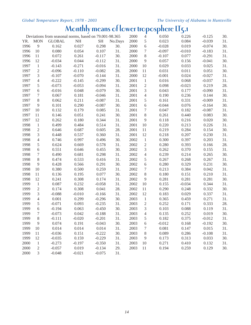### **Monthly means of lower troposphere LT5.1**

| Deviations from seasonal norms, based on 79.001-98.365 |                |               |          |           | 2000    | 4    | 0.050            | 0.226    | $-0.125$ | 30.      |     |
|--------------------------------------------------------|----------------|---------------|----------|-----------|---------|------|------------------|----------|----------|----------|-----|
| YR.                                                    | <b>MON</b>     | <b>GLOBAL</b> | NH       | <b>SH</b> | No.Days | 2000 | 5                | 0.023    | 0.084    | $-0.039$ | 31. |
| 1996                                                   | $\overline{9}$ | 0.162         | 0.027    | 0.298     | 30.     | 2000 | 6                | $-0.028$ | 0.019    | $-0.074$ | 30. |
| 1996                                                   | 10             | 0.080         | 0.054    | 0.107     | 31.     | 2000 | $\boldsymbol{7}$ | $-0.097$ | $-0.010$ | $-0.183$ | 31. |
| 1996                                                   | 11             | 0.072         | 0.261    | $-0.117$  | 30.     | 2000 | $\,8\,$          | $-0.107$ | 0.077    | $-0.291$ | 31. |
| 1996                                                   | 12             | $-0.034$      | 0.044    | $-0.112$  | 31.     | 2000 | $\overline{9}$   | 0.057    | 0.156    | $-0.041$ | 30. |
| 1997                                                   | $\mathbf{1}$   | $-0.143$      | $-0.271$ | $-0.016$  | 31.     | 2000 | 10               | 0.029    | 0.033    | 0.025    | 31. |
| 1997                                                   | $\sqrt{2}$     | $-0.096$      | $-0.110$ | $-0.082$  | 28.     | 2000 | 11               | 0.031    | 0.011    | 0.051    | 30. |
| 1997                                                   | 3              | $-0.107$      | $-0.070$ | $-0.144$  | 31.     | 2000 | 12               | $-0.001$ | 0.024    | $-0.027$ | 31. |
| 1997                                                   | $\overline{4}$ | $-0.222$      | $-0.145$ | $-0.299$  | 30.     | 2001 | $1\,$            | 0.016    | 0.068    | $-0.037$ | 31. |
| 1997                                                   | 5              | $-0.073$      | $-0.053$ | $-0.094$  | 31.     | 2001 | $\sqrt{2}$       | 0.098    | $-0.023$ | 0.219    | 28. |
| 1997                                                   | 6              | $-0.016$      | 0.048    | $-0.079$  | 30.     | 2001 | $\mathfrak{Z}$   | 0.043    | 0.177    | $-0.090$ | 31. |
| 1997                                                   | 7              | 0.067         | 0.181    | $-0.046$  | 31.     | 2001 | $\overline{4}$   | 0.190    | 0.236    | 0.144    | 30. |
| 1997                                                   | $8\,$          | 0.062         | 0.211    | $-0.087$  | 31.     | 2001 | 5                | 0.161    | 0.331    | $-0.009$ | 31. |
| 1997                                                   | $\overline{9}$ | 0.101         | 0.290    | $-0.087$  | 30.     | 2001 | 6                | $-0.044$ | 0.076    | $-0.164$ | 30. |
| 1997                                                   | 10             | 0.132         | 0.179    | 0.085     | 31.     | 2001 | $\tau$           | 0.047    | 0.182    | $-0.087$ | 31. |
| 1997                                                   | 11             | 0.146         | 0.051    | 0.241     | 30.     | 2001 | $\,8\,$          | 0.261    | 0.440    | 0.083    | 30. |
| 1997                                                   | 12             | 0.262         | 0.180    | 0.344     | 31.     | 2001 | $\overline{9}$   | 0.118    | 0.216    | 0.020    | 30. |
| 1998                                                   | $\mathbf{1}$   | 0.499         | 0.484    | 0.514     | 31.     | 2001 | $10\,$           | 0.220    | 0.213    | 0.226    | 31. |
| 1998                                                   | $\sqrt{2}$     | 0.646         | 0.687    | 0.605     | 28.     | 2001 | 11               | 0.219    | 0.284    | 0.154    | 30. |
| 1998                                                   | 3              | 0.448         | 0.537    | 0.360     | 31.     | 2001 | 12               | 0.218    | 0.207    | 0.230    | 31. |
| 1998                                                   | $\overline{4}$ | 0.746         | 0.997    | 0.496     | 30.     | 2002 | $\mathbf{1}$     | 0.300    | 0.397    | 0.203    | 31. |
| 1998                                                   | 5              | 0.624         | 0.669    | 0.578     | 31.     | 2002 | $\sqrt{2}$       | 0.280    | 0.393    | 0.166    | 28. |
| 1998                                                   | 6              | 0.551         | 0.646    | 0.455     | 30.     | 2002 | $\mathfrak{Z}$   | 0.262    | 0.370    | 0.155    | 31. |
| 1998                                                   | $\tau$         | 0.490         | 0.681    | 0.298     | 31.     | 2002 | $\overline{4}$   | 0.239    | 0.214    | 0.265    | 30. |
| 1998                                                   | $8\,$          | 0.474         | 0.533    | 0.416     | 31.     | 2002 | $\mathfrak s$    | 0.267    | 0.268    | 0.267    | 31. |
| 1998                                                   | $\overline{9}$ | 0.428         | 0.566    | 0.291     | 30.     | 2002 | 6                | 0.280    | 0.329    | 0.231    | 30. |
| 1998                                                   | 10             | 0.380         | 0.500    | 0.259     | 31.     | 2002 | $\tau$           | 0.213    | 0.384    | 0.042    | 31. |
| 1998                                                   | 11             | 0.136         | 0.195    | 0.077     | 30.     | 2002 | $\,8\,$          | 0.180    | 0.151    | 0.210    | 31. |
| 1998                                                   | 12             | 0.241         | 0.308    | 0.174     | 31.     | 2002 | $\overline{9}$   | 0.281    | 0.281    | 0.281    | 30. |
| 1999                                                   | $\mathbf{1}$   | 0.087         | 0.232    | $-0.058$  | 31.     | 2002 | 10               | 0.155    | $-0.034$ | 0.344    | 31. |
| 1999                                                   | $\sqrt{2}$     | 0.174         | 0.308    | 0.041     | 28.     | 2002 | 11               | 0.290    | 0.248    | 0.332    | 30. |
| 1999                                                   | 3              | $-0.088$      | $-0.010$ | $-0.166$  | 31.     | 2002 | 12               | 0.183    | 0.029    | 0.337    | 31. |
| 1999                                                   | $\overline{4}$ | 0.001         | 0.299    | $-0.296$  | 30.     | 2003 | $\mathbf{1}$     | 0.365    | 0.459    | 0.271    | 31. |
| 1999                                                   | 5              | $-0.071$      | 0.093    | $-0.235$  | 31.     | 2003 | $\sqrt{2}$       | 0.252    | 0.171    | 0.333    | 28. |
| 1999                                                   | 6              | $-0.194$      | 0.063    | $-0.450$  | 30.     | 2003 | $\mathfrak{Z}$   | 0.103    | 0.088    | 0.119    | 31. |
| 1999                                                   | 7              | $-0.073$      | 0.042    | $-0.188$  | 31.     | 2003 | $\overline{4}$   | 0.135    | 0.252    | 0.019    | 30. |
| 1999                                                   | $\,8\,$        | $-0.111$      | $-0.020$ | $-0.201$  | 31.     | 2003 | $\sqrt{5}$       | 0.182    | 0.375    | $-0.012$ | 31. |
| 1999                                                   | 9              | 0.074         | 0.191    | $-0.043$  | 30.     | 2003 | 6                | $-0.012$ | 0.168    | $-0.192$ | 30. |
| 1999                                                   | 10             | 0.014         | 0.014    | 0.014     | 31.     | 2003 | $\tau$           | 0.081    | 0.147    | 0.015    | 31. |
| 1999                                                   | 11             | $-0.036$      | 0.151    | $-0.222$  | 30.     | 2003 | 8                | 0.089    | 0.286    | $-0.108$ | 31. |
| 1999                                                   | 12             | $-0.035$      | 0.159    | $-0.229$  | 31.     | 2003 | $\overline{9}$   | 0.173    | 0.313    | 0.033    | 30. |
| 2000                                                   | $\mathbf{1}$   | $-0.273$      | $-0.197$ | $-0.350$  | 31.     | 2003 | 10               | 0.271    | 0.410    | 0.132    | 31. |
| 2000                                                   | $\sqrt{2}$     | $-0.057$      | 0.019    | $-0.134$  | 29.     | 2003 | 11               | 0.194    | 0.259    | 0.129    | 30. |
| 2000                                                   | $\mathfrak{Z}$ | $-0.048$      | $-0.021$ | $-0.075$  | 31.     |      |                  |          |          |          |     |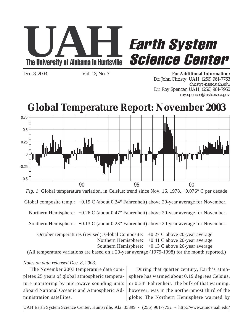

# **Earth System<br>Science Center**

Dec. 8, 2003 Vol. 13, No. 7 **For Additional Information:** Dr. John Christy, UAH, (256) 961-7763 christy@nsstc.uah.edu Dr. Roy Spencer, UAH, (256) 961-7960 roy.spencer@msfc.nasa.gov



*Fig. 1*: Global temperature variation, in Celsius; trend since Nov. 16, 1978, +0.076° C per decade

Global composite temp.: +0.19 C (about 0.34° Fahrenheit) above 20-year average for November.

Northern Hemisphere: +0.26 C (about 0.47° Fahrenheit) above 20-year average for November.

Southern Hemisphere: +0.13 C (about 0.23° Fahrenheit) above 20-year average for November.

October temperatures (revised): Global Composite: +0.27 C above 20-year average Northern Hemisphere: +0.41 C above 20-year average Southern Hemisphere:  $+0.13$  C above 20-year average

(All temperature variations are based on a 20-year average (1979-1998) for the month reported.)

*Notes on data released Dec. 8, 2003:*

The November 2003 temperature data completes 25 years of global atmospheric temperature monitoring by microwave sounding units aboard National Oceanic and Atmospheric Administration satellites.

During that quarter century, Earth's atmosphere has warmed about 0.19 degrees Celsius, or 0.34° Fahrenheit. The bulk of that warming, however, was in the northernmost third of the globe: The Northern Hemisphere warmed by

UAH Earth System Science Center, Huntsville, Ala. 35899 • (256) 961-7752 • http://www.atmos.uah.edu/